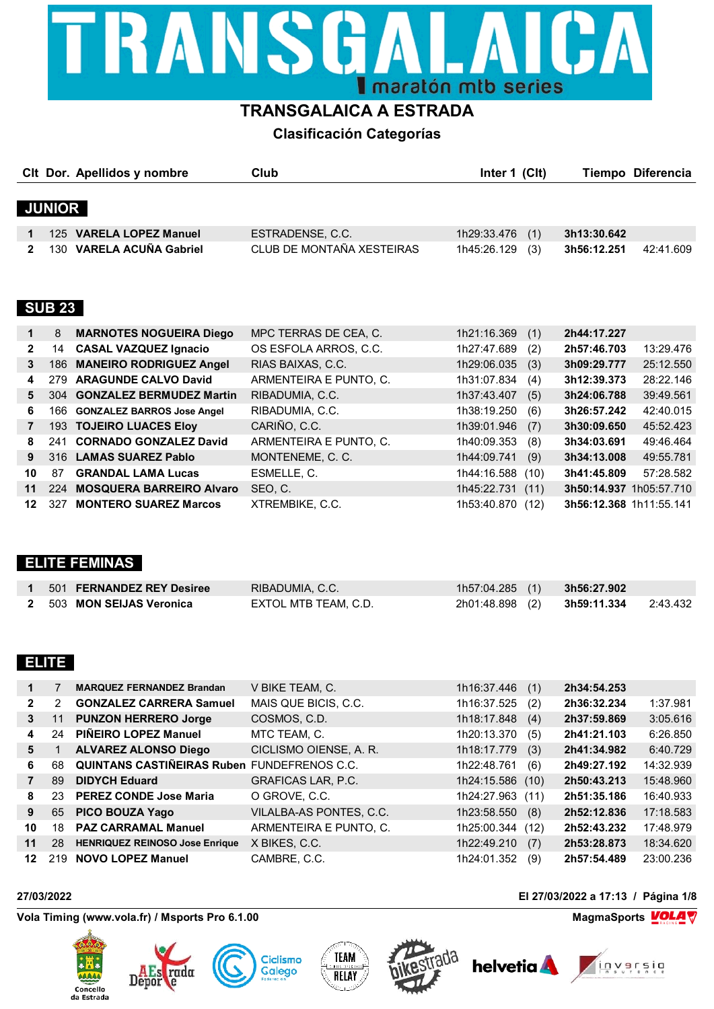

### **TRANSGALAICA A ESTRADA**

**Clasificación Categorías**

|               | CIt Dor. Apellidos y nombre | Club                      | Inter 1 (CIt)      | <b>Tiempo Diferencia</b> |
|---------------|-----------------------------|---------------------------|--------------------|--------------------------|
|               |                             |                           |                    |                          |
| <b>JUNIOR</b> |                             |                           |                    |                          |
|               | 125 VARELA LOPEZ Manuel     | ESTRADENSE, C.C.          | 1h29:33.476<br>(1) | 3h13:30.642              |
|               | 130 VARELA ACUÑA Gabriel    | CLUB DE MONTAÑA XESTEIRAS | 1h45:26.129<br>(3) | 42:41.609<br>3h56:12.251 |
|               |                             |                           |                    |                          |
|               |                             |                           |                    |                          |

### **SUB 23**

| $\mathbf 1$  | 8   | <b>MARNOTES NOGUEIRA Diego</b>  | MPC TERRAS DE CEA, C.  | 1h21:16.369 | (1)  | 2h44:17.227             |           |
|--------------|-----|---------------------------------|------------------------|-------------|------|-------------------------|-----------|
| $\mathbf{2}$ | 14  | <b>CASAL VAZQUEZ Ignacio</b>    | OS ESFOLA ARROS, C.C.  | 1h27:47.689 | (2)  | 2h57:46.703             | 13:29.476 |
| 3            | 186 | <b>MANEIRO RODRIGUEZ Angel</b>  | RIAS BAIXAS, C.C.      | 1h29:06.035 | (3)  | 3h09:29.777             | 25:12.550 |
| 4            | 279 | <b>ARAGUNDE CALVO David</b>     | ARMENTEIRA E PUNTO, C. | 1h31:07.834 | (4)  | 3h12:39.373             | 28:22.146 |
| 5.           |     | 304 GONZALEZ BERMUDEZ Martin    | RIBADUMIA, C.C.        | 1h37:43.407 | (5)  | 3h24:06.788             | 39:49.561 |
| 6            |     | 166 GONZALEZ BARROS Jose Angel  | RIBADUMIA, C.C.        | 1h38:19.250 | (6)  | 3h26:57.242             | 42:40.015 |
| 7            |     | 193 TOJEIRO LUACES Eloy         | CARIÑO, C.C.           | 1h39:01.946 | (7)  | 3h30:09.650             | 45:52.423 |
| 8            | 241 | <b>CORNADO GONZALEZ David</b>   | ARMENTEIRA E PUNTO, C. | 1h40:09.353 | (8)  | 3h34:03.691             | 49:46.464 |
| 9            |     | 316 LAMAS SUAREZ Pablo          | MONTENEME, C. C.       | 1h44:09.741 | (9)  | 3h34:13.008             | 49:55.781 |
| 10           | 87  | <b>GRANDAL LAMA Lucas</b>       | ESMELLE, C.            | 1h44:16.588 | (10) | 3h41:45.809             | 57:28.582 |
| 11           | 224 | <b>MOSQUERA BARREIRO Alvaro</b> | SEO, C.                | 1h45:22.731 | (11) | 3h50:14.937 1h05:57.710 |           |
| 12           | 327 | <b>MONTERO SUAREZ Marcos</b>    | XTREMBIKE, C.C.        | 1h53:40.870 | (12) | 3h56:12.368 1h11:55.141 |           |

### **ELITE FEMINAS**

| 501 FERNANDEZ REY Desiree | RIBADUMIA, C.C.      | $1h57:04.285$ (1) | 3h56:27.902 |          |
|---------------------------|----------------------|-------------------|-------------|----------|
| 2 503 MON SEIJAS Veronica | EXTOL MTB TEAM, C.D. | 2h01:48.898 (2)   | 3h59:11.334 | 2:43.432 |

### **ELITE**

|                 |     | <b>MARQUEZ FERNANDEZ Brandan</b>                   | V BIKE TEAM, C.           | 1h16:37.446 | (1)  | 2h34:54.253 |           |
|-----------------|-----|----------------------------------------------------|---------------------------|-------------|------|-------------|-----------|
| $\mathbf{2}$    | 2   | <b>GONZALEZ CARRERA Samuel</b>                     | MAIS QUE BICIS, C.C.      | 1h16:37.525 | (2)  | 2h36:32.234 | 1:37.981  |
| $\mathbf{3}$    | 11  | <b>PUNZON HERRERO Jorge</b>                        | COSMOS, C.D.              | 1h18:17.848 | (4)  | 2h37:59.869 | 3:05.616  |
| 4               | 24  | PIÑEIRO LOPEZ Manuel                               | MTC TEAM, C.              | 1h20:13.370 | (5)  | 2h41:21.103 | 6:26.850  |
| 5               |     | <b>ALVAREZ ALONSO Diego</b>                        | CICLISMO OIENSE, A. R.    | 1h18:17.779 | (3)  | 2h41:34.982 | 6:40.729  |
| 6               | 68  | <b>QUINTANS CASTIÑEIRAS Ruben FUNDEFRENOS C.C.</b> |                           | 1h22:48.761 | (6)  | 2h49:27.192 | 14:32.939 |
|                 | 89  | <b>DIDYCH Eduard</b>                               | <b>GRAFICAS LAR, P.C.</b> | 1h24:15.586 | (10) | 2h50:43.213 | 15:48.960 |
| 8               | 23  | <b>PEREZ CONDE Jose Maria</b>                      | O GROVE, C.C.             | 1h24:27.963 | (11) | 2h51:35.186 | 16:40.933 |
| 9               | 65  | <b>PICO BOUZA Yago</b>                             | VILALBA-AS PONTES, C.C.   | 1h23:58.550 | (8)  | 2h52:12.836 | 17:18.583 |
| 10              | 18  | <b>PAZ CARRAMAL Manuel</b>                         | ARMENTEIRA E PUNTO, C.    | 1h25:00.344 | (12) | 2h52:43.232 | 17:48.979 |
| 11              | 28  | <b>HENRIQUEZ REINOSO Jose Enrique</b>              | X BIKES, C.C.             | 1h22:49.210 | (7)  | 2h53:28.873 | 18:34.620 |
| 12 <sup>°</sup> | 219 | <b>NOVO LOPEZ Manuel</b>                           | CAMBRE, C.C.              | 1h24:01.352 | (9)  | 2h57:54.489 | 23:00.236 |

#### **27/03/2022 El 27/03/2022 a 17:13 / Página 1/8**

Vola Timing (www.vola.fr) / Msports Pro 6.1.00 **MagmaChanger 2012 12:00 MagmaChanger 2014** W

Depor











**helvetia A**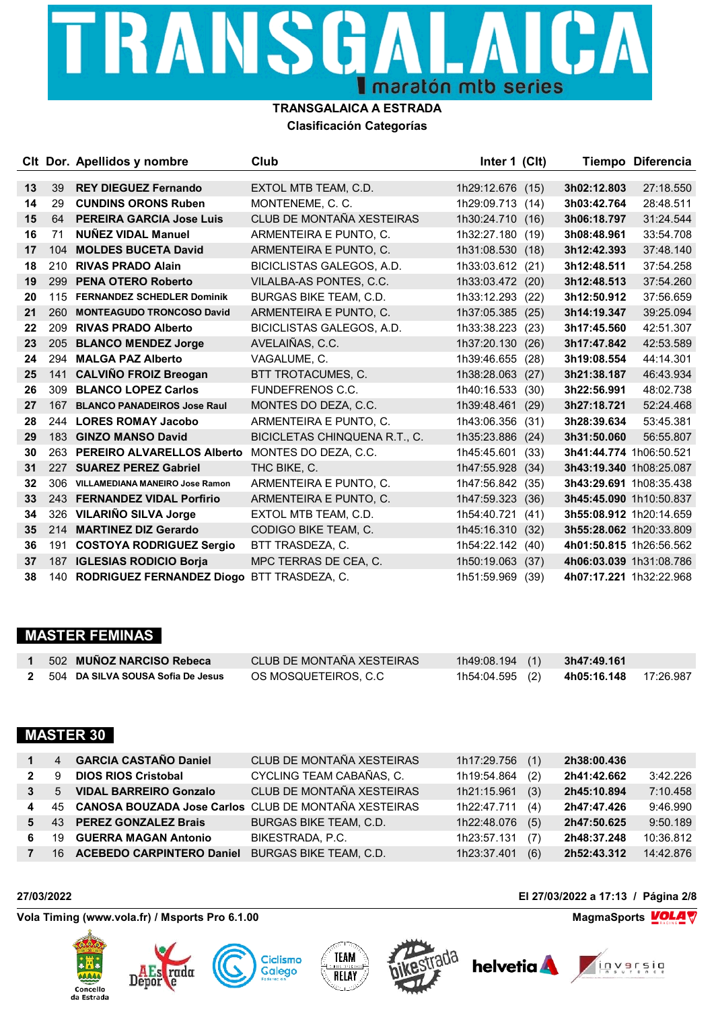# TRANSGA СA I maratón mtb series

#### **TRANSGALAICA A ESTRADA Clasificación Categorías**

|    |     | Clt Dor. Apellidos y nombre        | Club                          | Inter 1 (Clt)    |      |                         | Tiempo Diferencia |
|----|-----|------------------------------------|-------------------------------|------------------|------|-------------------------|-------------------|
| 13 | 39  | <b>REY DIEGUEZ Fernando</b>        | EXTOL MTB TEAM, C.D.          | 1h29:12.676      | (15) | 3h02:12.803             | 27:18.550         |
| 14 | 29  | <b>CUNDINS ORONS Ruben</b>         | MONTENEME, C. C.              | 1h29:09.713      | (14) | 3h03:42.764             | 28:48.511         |
| 15 | 64  | <b>PEREIRA GARCIA Jose Luis</b>    | CLUB DE MONTAÑA XESTEIRAS     | 1h30:24.710      | (16) | 3h06:18.797             | 31:24.544         |
| 16 | 71  | <b>NUÑEZ VIDAL Manuel</b>          | ARMENTEIRA E PUNTO, C.        | 1h32:27.180      | (19) | 3h08:48.961             | 33:54.708         |
| 17 | 104 | <b>MOLDES BUCETA David</b>         | ARMENTEIRA E PUNTO, C.        | 1h31:08.530      | (18) | 3h12:42.393             | 37:48.140         |
| 18 | 210 | <b>RIVAS PRADO Alain</b>           | BICICLISTAS GALEGOS, A.D.     | 1h33:03.612      | (21) | 3h12:48.511             | 37:54.258         |
| 19 | 299 | <b>PENA OTERO Roberto</b>          | VILALBA-AS PONTES, C.C.       | 1h33:03.472 (20) |      | 3h12:48.513             | 37:54.260         |
| 20 | 115 | <b>FERNANDEZ SCHEDLER Dominik</b>  | BURGAS BIKE TEAM, C.D.        | 1h33:12.293      | (22) | 3h12:50.912             | 37:56.659         |
| 21 | 260 | <b>MONTEAGUDO TRONCOSO David</b>   | ARMENTEIRA E PUNTO, C.        | 1h37:05.385      | (25) | 3h14:19.347             | 39:25.094         |
| 22 | 209 | <b>RIVAS PRADO Alberto</b>         | BICICLISTAS GALEGOS, A.D.     | 1h33:38.223      | (23) | 3h17:45.560             | 42:51.307         |
| 23 | 205 | <b>BLANCO MENDEZ Jorge</b>         | AVELAIÑAS, C.C.               | 1h37:20.130      | (26) | 3h17:47.842             | 42:53.589         |
| 24 | 294 | <b>MALGA PAZ Alberto</b>           | VAGALUME, C.                  | 1h39:46.655      | (28) | 3h19:08.554             | 44:14.301         |
| 25 | 141 | <b>CALVIÑO FROIZ Breogan</b>       | BTT TROTACUMES, C.            | 1h38:28.063      | (27) | 3h21:38.187             | 46:43.934         |
| 26 | 309 | <b>BLANCO LOPEZ Carlos</b>         | FUNDEFRENOS C.C.              | 1h40:16.533      | (30) | 3h22:56.991             | 48:02.738         |
| 27 | 167 | <b>BLANCO PANADEIROS Jose Raul</b> | MONTES DO DEZA, C.C.          | 1h39:48.461      | (29) | 3h27:18.721             | 52:24.468         |
| 28 |     | 244 LORES ROMAY Jacobo             | ARMENTEIRA E PUNTO, C.        | 1h43:06.356      | (31) | 3h28:39.634             | 53:45.381         |
| 29 |     | 183 GINZO MANSO David              | BICICLETAS CHINQUENA R.T., C. | 1h35:23.886      | (24) | 3h31:50.060             | 56:55.807         |
| 30 |     | 263 PEREIRO ALVARELLOS Alberto     | MONTES DO DEZA, C.C.          | 1h45:45.601      | (33) | 3h41:44.774 1h06:50.521 |                   |
| 31 | 227 | <b>SUAREZ PEREZ Gabriel</b>        | THC BIKE, C.                  | 1h47:55.928      | (34) | 3h43:19.340 1h08:25.087 |                   |
| 32 | 306 | VILLAMEDIANA MANEIRO Jose Ramon    | ARMENTEIRA E PUNTO, C.        | 1h47:56.842      | (35) | 3h43:29.691 1h08:35.438 |                   |
| 33 |     | 243 FERNANDEZ VIDAL Porfirio       | ARMENTEIRA E PUNTO, C.        | 1h47:59.323      | (36) | 3h45:45.090 1h10:50.837 |                   |
| 34 | 326 | <b>VILARIÑO SILVA Jorge</b>        | EXTOL MTB TEAM, C.D.          | 1h54:40.721      | (41) | 3h55:08.912 1h20:14.659 |                   |
| 35 | 214 | <b>MARTINEZ DIZ Gerardo</b>        | CODIGO BIKE TEAM, C.          | 1h45:16.310      | (32) | 3h55:28.062 1h20:33.809 |                   |
| 36 | 191 | <b>COSTOYA RODRIGUEZ Sergio</b>    | BTT TRASDEZA, C.              | 1h54:22.142      | (40) | 4h01:50.815 1h26:56.562 |                   |
| 37 | 187 | <b>IGLESIAS RODICIO Borja</b>      | MPC TERRAS DE CEA, C.         | 1h50:19.063      | (37) | 4h06:03.039 1h31:08.786 |                   |
| 38 |     | 140 RODRIGUEZ FERNANDEZ Diogo      | BTT TRASDEZA. C.              | 1h51:59.969      | (39) | 4h07:17.221 1h32:22.968 |                   |

### **MASTER FEMINAS**

| 502 MUÑOZ NARCISO Rebeca            | CLUB DE MONTAÑA XESTEIRAS | 1h49:08.194(1)  | 3h47:49.161 |           |
|-------------------------------------|---------------------------|-----------------|-------------|-----------|
| 2 504 DA SILVA SOUSA Sofia De Jesus | OS MOSQUETEIROS, C.C      | 1h54:04.595 (2) | 4h05:16.148 | 17:26.987 |

### **MASTER 30**

| $\mathbf 1$    | $\overline{4}$ | <b>GARCIA CASTAÑO Daniel</b>                            | CLUB DE MONTAÑA XESTEIRAS     | 1h17:29.756 | (1) | 2h38:00.436 |           |
|----------------|----------------|---------------------------------------------------------|-------------------------------|-------------|-----|-------------|-----------|
| $\mathbf{2}$   | 9              | <b>DIOS RIOS Cristobal</b>                              | CYCLING TEAM CABAÑAS, C.      | 1h19:54.864 | (2) | 2h41:42.662 | 3:42.226  |
| 3 <sup>1</sup> | $5^{\circ}$    | <b>VIDAL BARREIRO Gonzalo</b>                           | CLUB DE MONTAÑA XESTEIRAS     | 1h21:15.961 | (3) | 2h45:10.894 | 7:10.458  |
| 4              |                | 45 CANOSA BOUZADA Jose Carlos CLUB DE MONTAÑA XESTEIRAS |                               | 1h22:47.711 | (4) | 2h47:47.426 | 9:46.990  |
| 5              |                | 43 PEREZ GONZALEZ Brais                                 | <b>BURGAS BIKE TEAM, C.D.</b> | 1h22:48.076 | (5) | 2h47:50.625 | 9:50.189  |
| 6.             | 19             | <b>GUERRA MAGAN Antonio</b>                             | BIKESTRADA, P.C.              | 1h23:57.131 | (7) | 2h48:37.248 | 10:36.812 |
| 7              | 16             | <b>ACEBEDO CARPINTERO Daniel</b>                        | <b>BURGAS BIKE TEAM, C.D.</b> | 1h23:37.401 | (6) | 2h52:43.312 | 14:42.876 |

Vola Timing (www.vola.fr) / Msports Pro 6.1.00 **MagmaChanger 2012 12:00 MagmaChanger 2014** W

Depor











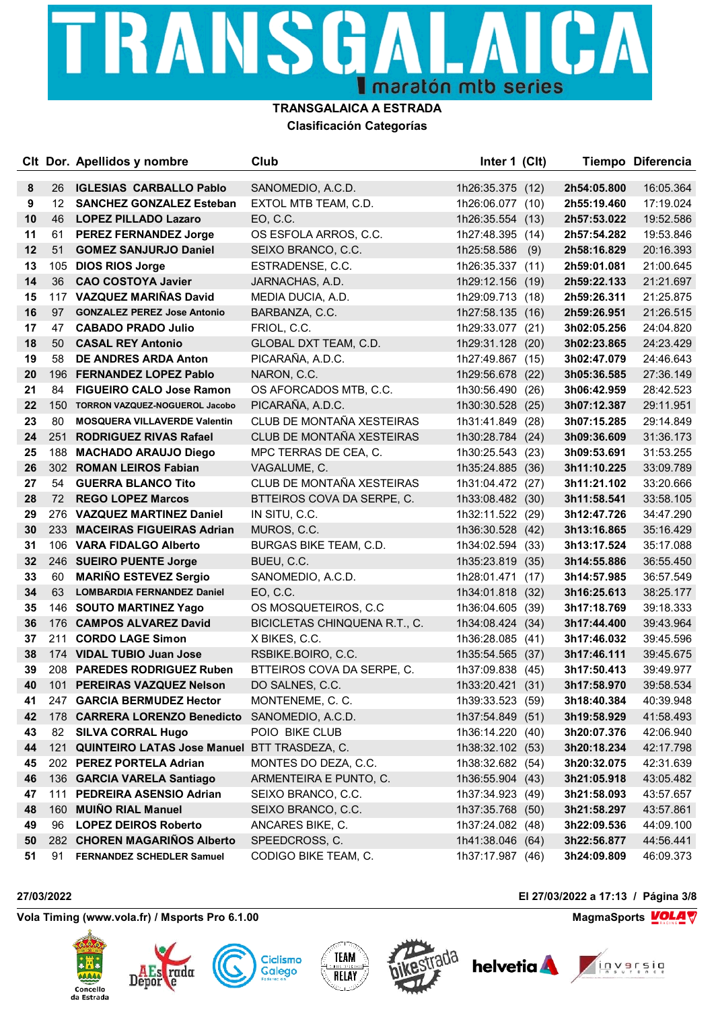# TRANSGA СA **I** maratón mtb series

#### **TRANSGALAICA A ESTRADA Clasificación Categorías**

|    |     | CIt Dor. Apellidos y nombre                  | Club                          | Inter 1 (Clt)    |     |             | Tiempo Diferencia |
|----|-----|----------------------------------------------|-------------------------------|------------------|-----|-------------|-------------------|
| 8  | 26  | <b>IGLESIAS CARBALLO Pablo</b>               | SANOMEDIO, A.C.D.             | 1h26:35.375 (12) |     | 2h54:05.800 | 16:05.364         |
| 9  | 12  | <b>SANCHEZ GONZALEZ Esteban</b>              | EXTOL MTB TEAM, C.D.          | 1h26:06.077 (10) |     | 2h55:19.460 | 17:19.024         |
| 10 | 46  | <b>LOPEZ PILLADO Lazaro</b>                  | EO, C.C.                      | 1h26:35.554 (13) |     | 2h57:53.022 | 19:52.586         |
| 11 | 61  | <b>PEREZ FERNANDEZ Jorge</b>                 | OS ESFOLA ARROS, C.C.         | 1h27:48.395 (14) |     | 2h57:54.282 | 19:53.846         |
| 12 | 51  | <b>GOMEZ SANJURJO Daniel</b>                 | SEIXO BRANCO, C.C.            | 1h25:58.586      | (9) | 2h58:16.829 | 20:16.393         |
| 13 | 105 | <b>DIOS RIOS Jorge</b>                       | ESTRADENSE, C.C.              | 1h26:35.337 (11) |     | 2h59:01.081 | 21:00.645         |
| 14 | 36  | <b>CAO COSTOYA Javier</b>                    | JARNACHAS, A.D.               | 1h29:12.156 (19) |     | 2h59:22.133 | 21:21.697         |
| 15 |     | 117 VAZQUEZ MARIÑAS David                    | MEDIA DUCIA, A.D.             | 1h29:09.713 (18) |     | 2h59:26.311 | 21:25.875         |
| 16 | 97  | <b>GONZALEZ PEREZ Jose Antonio</b>           | BARBANZA, C.C.                | 1h27:58.135 (16) |     | 2h59:26.951 | 21:26.515         |
| 17 | 47  | <b>CABADO PRADO Julio</b>                    | FRIOL, C.C.                   | 1h29:33.077 (21) |     | 3h02:05.256 | 24:04.820         |
| 18 | 50  | <b>CASAL REY Antonio</b>                     | GLOBAL DXT TEAM, C.D.         | 1h29:31.128 (20) |     | 3h02:23.865 | 24:23.429         |
| 19 | 58  | <b>DE ANDRES ARDA Anton</b>                  | PICARAÑA, A.D.C.              | 1h27:49.867 (15) |     | 3h02:47.079 | 24:46.643         |
| 20 | 196 | <b>FERNANDEZ LOPEZ Pablo</b>                 | NARON, C.C.                   | 1h29:56.678 (22) |     | 3h05:36.585 | 27:36.149         |
| 21 | 84  | <b>FIGUEIRO CALO Jose Ramon</b>              | OS AFORCADOS MTB, C.C.        | 1h30:56.490 (26) |     | 3h06:42.959 | 28:42.523         |
| 22 | 150 | TORRON VAZQUEZ-NOGUEROL Jacobo               | PICARAÑA, A.D.C.              | 1h30:30.528 (25) |     | 3h07:12.387 | 29:11.951         |
| 23 | 80  | <b>MOSQUERA VILLAVERDE Valentin</b>          | CLUB DE MONTAÑA XESTEIRAS     | 1h31:41.849 (28) |     | 3h07:15.285 | 29:14.849         |
| 24 | 251 | <b>RODRIGUEZ RIVAS Rafael</b>                | CLUB DE MONTAÑA XESTEIRAS     | 1h30:28.784 (24) |     | 3h09:36.609 | 31:36.173         |
| 25 | 188 | <b>MACHADO ARAUJO Diego</b>                  | MPC TERRAS DE CEA, C.         | 1h30:25.543 (23) |     | 3h09:53.691 | 31:53.255         |
| 26 | 302 | <b>ROMAN LEIROS Fabian</b>                   | VAGALUME, C.                  | 1h35:24.885 (36) |     | 3h11:10.225 | 33:09.789         |
| 27 | 54  | <b>GUERRA BLANCO Tito</b>                    | CLUB DE MONTAÑA XESTEIRAS     | 1h31:04.472 (27) |     | 3h11:21.102 | 33:20.666         |
| 28 | 72  | <b>REGO LOPEZ Marcos</b>                     | BTTEIROS COVA DA SERPE, C.    | 1h33:08.482 (30) |     | 3h11:58.541 | 33:58.105         |
| 29 | 276 | <b>VAZQUEZ MARTINEZ Daniel</b>               | IN SITU, C.C.                 | 1h32:11.522 (29) |     | 3h12:47.726 | 34:47.290         |
| 30 |     | 233 MACEIRAS FIGUEIRAS Adrian                | MUROS, C.C.                   | 1h36:30.528 (42) |     | 3h13:16.865 | 35:16.429         |
| 31 |     | 106 VARA FIDALGO Alberto                     | BURGAS BIKE TEAM, C.D.        | 1h34:02.594 (33) |     | 3h13:17.524 | 35:17.088         |
| 32 |     | 246 SUEIRO PUENTE Jorge                      | BUEU, C.C.                    | 1h35:23.819 (35) |     | 3h14:55.886 | 36:55.450         |
| 33 | 60  | <b>MARIÑO ESTEVEZ Sergio</b>                 | SANOMEDIO, A.C.D.             | 1h28:01.471 (17) |     | 3h14:57.985 | 36:57.549         |
| 34 | 63  | <b>LOMBARDIA FERNANDEZ Daniel</b>            | EO, C.C.                      | 1h34:01.818 (32) |     | 3h16:25.613 | 38:25.177         |
| 35 | 146 | <b>SOUTO MARTINEZ Yago</b>                   | OS MOSQUETEIROS, C.C.         | 1h36:04.605 (39) |     | 3h17:18.769 | 39:18.333         |
| 36 |     | 176 CAMPOS ALVAREZ David                     | BICICLETAS CHINQUENA R.T., C. | 1h34:08.424 (34) |     | 3h17:44.400 | 39:43.964         |
| 37 | 211 | <b>CORDO LAGE Simon</b>                      | X BIKES, C.C.                 | 1h36:28.085 (41) |     | 3h17:46.032 | 39:45.596         |
| 38 |     | 174 VIDAL TUBIO Juan Jose                    | RSBIKE.BOIRO, C.C.            | 1h35:54.565 (37) |     | 3h17:46.111 | 39:45.675         |
| 39 |     | 208 PAREDES RODRIGUEZ Ruben                  | BTTEIROS COVA DA SERPE, C.    | 1h37:09.838 (45) |     | 3h17:50.413 | 39:49.977         |
| 40 | 101 | PEREIRAS VAZQUEZ Nelson                      | DO SALNES, C.C.               | 1h33:20.421 (31) |     | 3h17:58.970 | 39:58.534         |
| 41 |     | 247 GARCIA BERMUDEZ Hector                   | MONTENEME, C. C.              | 1h39:33.523 (59) |     | 3h18:40.384 | 40:39.948         |
| 42 |     | 178 CARRERA LORENZO Benedicto                | SANOMEDIO, A.C.D.             | 1h37:54.849 (51) |     | 3h19:58.929 | 41:58.493         |
| 43 | 82  | <b>SILVA CORRAL Hugo</b>                     | POIO BIKE CLUB                | 1h36:14.220 (40) |     | 3h20:07.376 | 42:06.940         |
| 44 | 121 | QUINTEIRO LATAS Jose Manuel BTT TRASDEZA, C. |                               | 1h38:32.102 (53) |     | 3h20:18.234 | 42:17.798         |
| 45 |     | 202 PEREZ PORTELA Adrian                     | MONTES DO DEZA, C.C.          | 1h38:32.682 (54) |     | 3h20:32.075 | 42:31.639         |
| 46 |     | 136 GARCIA VARELA Santiago                   | ARMENTEIRA E PUNTO, C.        | 1h36:55.904 (43) |     | 3h21:05.918 | 43:05.482         |
| 47 | 111 | PEDREIRA ASENSIO Adrian                      | SEIXO BRANCO, C.C.            | 1h37:34.923 (49) |     | 3h21:58.093 | 43:57.657         |
| 48 | 160 | <b>MUIÑO RIAL Manuel</b>                     | SEIXO BRANCO, C.C.            | 1h37:35.768 (50) |     | 3h21:58.297 | 43:57.861         |
| 49 | 96  | <b>LOPEZ DEIROS Roberto</b>                  | ANCARES BIKE, C.              | 1h37:24.082 (48) |     | 3h22:09.536 | 44:09.100         |
| 50 |     | 282 CHOREN MAGARIÑOS Alberto                 | SPEEDCROSS, C.                | 1h41:38.046 (64) |     | 3h22:56.877 | 44:56.441         |
| 51 | 91  | <b>FERNANDEZ SCHEDLER Samuel</b>             | CODIGO BIKE TEAM, C.          | 1h37:17.987 (46) |     | 3h24:09.809 | 46:09.373         |

Vola Timing (www.vola.fr) / Msports Pro 6.1.00 **MagmaChanger 2012 1998 MagmaSports** MagmaSports **VOLA** 

Depor











**27/03/2022 El 27/03/2022 a 17:13 / Página 3/8**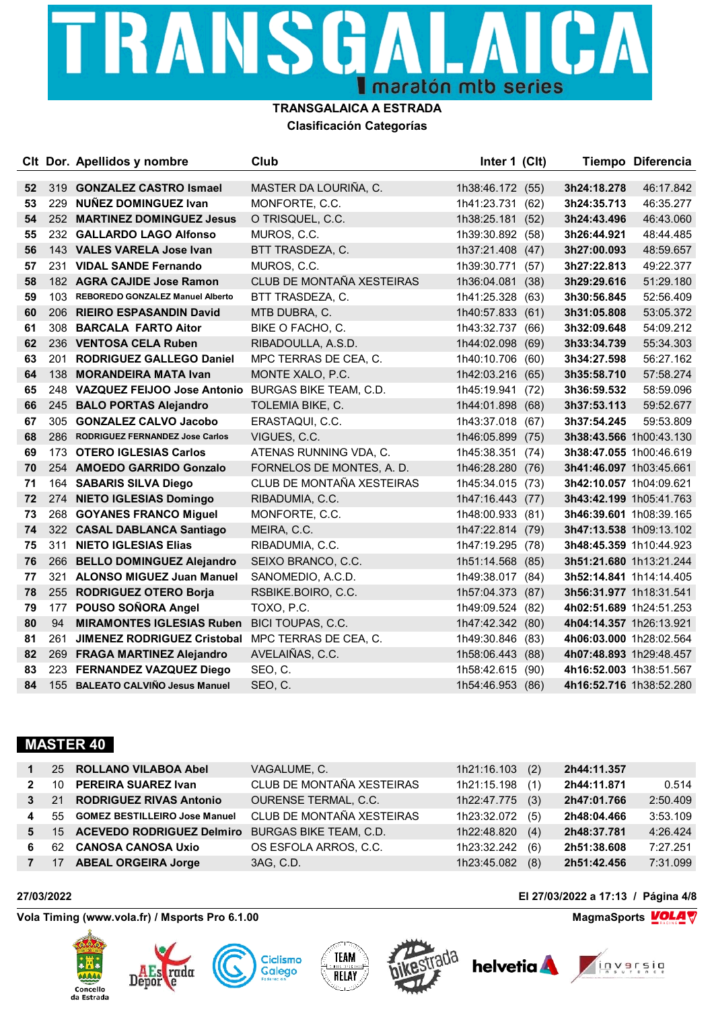# TRANSGA СA **I** maratón mtb series

#### **TRANSGALAICA A ESTRADA Clasificación Categorías**

|    |     | CIt Dor. Apellidos y nombre          | Club                      | Inter 1 (Clt)    |      |                         | Tiempo Diferencia       |
|----|-----|--------------------------------------|---------------------------|------------------|------|-------------------------|-------------------------|
| 52 | 319 | <b>GONZALEZ CASTRO Ismael</b>        | MASTER DA LOURIÑA, C.     | 1h38:46.172 (55) |      | 3h24:18.278             | 46:17.842               |
| 53 | 229 | <b>NUÑEZ DOMINGUEZ Ivan</b>          | MONFORTE, C.C.            | 1h41:23.731 (62) |      | 3h24:35.713             | 46:35.277               |
| 54 |     | 252 MARTINEZ DOMINGUEZ Jesus         | O TRISQUEL, C.C.          | 1h38:25.181 (52) |      | 3h24:43.496             | 46:43.060               |
| 55 |     | 232 GALLARDO LAGO Alfonso            | MUROS, C.C.               | 1h39:30.892 (58) |      | 3h26:44.921             | 48:44.485               |
| 56 |     | 143 VALES VARELA Jose Ivan           | BTT TRASDEZA, C.          | 1h37:21.408 (47) |      | 3h27:00.093             | 48:59.657               |
| 57 |     | 231 VIDAL SANDE Fernando             | MUROS, C.C.               | 1h39:30.771      | (57) | 3h27:22.813             | 49:22.377               |
| 58 |     | 182 AGRA CAJIDE Jose Ramon           | CLUB DE MONTAÑA XESTEIRAS | 1h36:04.081 (38) |      | 3h29:29.616             | 51:29.180               |
| 59 |     | 103 REBOREDO GONZALEZ Manuel Alberto | BTT TRASDEZA, C.          | 1h41:25.328 (63) |      | 3h30:56.845             | 52:56.409               |
| 60 | 206 | <b>RIEIRO ESPASANDIN David</b>       | MTB DUBRA, C.             | 1h40:57.833      | (61) | 3h31:05.808             | 53:05.372               |
| 61 | 308 | <b>BARCALA FARTO Aitor</b>           | BIKE O FACHO, C.          | 1h43:32.737 (66) |      | 3h32:09.648             | 54:09.212               |
| 62 |     | 236 VENTOSA CELA Ruben               | RIBADOULLA, A.S.D.        | 1h44:02.098 (69) |      | 3h33:34.739             | 55:34.303               |
| 63 | 201 | <b>RODRIGUEZ GALLEGO Daniel</b>      | MPC TERRAS DE CEA, C.     | 1h40:10.706      | (60) | 3h34:27.598             | 56:27.162               |
| 64 | 138 | <b>MORANDEIRA MATA Ivan</b>          | MONTE XALO, P.C.          | 1h42:03.216 (65) |      | 3h35:58.710             | 57:58.274               |
| 65 |     | 248 VAZQUEZ FEIJOO Jose Antonio      | BURGAS BIKE TEAM, C.D.    | 1h45:19.941 (72) |      | 3h36:59.532             | 58:59.096               |
| 66 |     | 245 BALO PORTAS Alejandro            | TOLEMIA BIKE, C.          | 1h44:01.898      | (68) | 3h37:53.113             | 59:52.677               |
| 67 | 305 | <b>GONZALEZ CALVO Jacobo</b>         | ERASTAQUI, C.C.           | 1h43:37.018 (67) |      | 3h37:54.245             | 59:53.809               |
| 68 | 286 | RODRIGUEZ FERNANDEZ Jose Carlos      | VIGUES, C.C.              | 1h46:05.899 (75) |      | 3h38:43.566 1h00:43.130 |                         |
| 69 | 173 | <b>OTERO IGLESIAS Carlos</b>         | ATENAS RUNNING VDA, C.    | 1h45:38.351 (74) |      | 3h38:47.055 1h00:46.619 |                         |
| 70 |     | 254 AMOEDO GARRIDO Gonzalo           | FORNELOS DE MONTES, A. D. | 1h46:28.280 (76) |      | 3h41:46.097 1h03:45.661 |                         |
| 71 | 164 | <b>SABARIS SILVA Diego</b>           | CLUB DE MONTAÑA XESTEIRAS | 1h45:34.015 (73) |      | 3h42:10.057 1h04:09.621 |                         |
| 72 | 274 | <b>NIETO IGLESIAS Domingo</b>        | RIBADUMIA, C.C.           | 1h47:16.443 (77) |      | 3h43:42.199 1h05:41.763 |                         |
| 73 | 268 | <b>GOYANES FRANCO Miguel</b>         | MONFORTE, C.C.            | 1h48:00.933 (81) |      | 3h46:39.601 1h08:39.165 |                         |
| 74 |     | 322 CASAL DABLANCA Santiago          | MEIRA, C.C.               | 1h47:22.814 (79) |      |                         | 3h47:13.538 1h09:13.102 |
| 75 | 311 | <b>NIETO IGLESIAS Elias</b>          | RIBADUMIA, C.C.           | 1h47:19.295 (78) |      | 3h48:45.359 1h10:44.923 |                         |
| 76 | 266 | <b>BELLO DOMINGUEZ Alejandro</b>     | SEIXO BRANCO, C.C.        | 1h51:14.568 (85) |      |                         | 3h51:21.680 1h13:21.244 |
| 77 |     | 321 ALONSO MIGUEZ Juan Manuel        | SANOMEDIO, A.C.D.         | 1h49:38.017 (84) |      | 3h52:14.841 1h14:14.405 |                         |
| 78 |     | 255 RODRIGUEZ OTERO Borja            | RSBIKE.BOIRO, C.C.        | 1h57:04.373 (87) |      | 3h56:31.977 1h18:31.541 |                         |
| 79 | 177 | POUSO SOÑORA Angel                   | TOXO, P.C.                | 1h49:09.524 (82) |      | 4h02:51.689 1h24:51.253 |                         |
| 80 | 94  | <b>MIRAMONTES IGLESIAS Ruben</b>     | BICI TOUPAS, C.C.         | 1h47:42.342 (80) |      | 4h04:14.357 1h26:13.921 |                         |
| 81 | 261 | <b>JIMENEZ RODRIGUEZ Cristobal</b>   | MPC TERRAS DE CEA, C.     | 1h49:30.846 (83) |      | 4h06:03.000 1h28:02.564 |                         |
| 82 | 269 | <b>FRAGA MARTINEZ Alejandro</b>      | AVELAIÑAS, C.C.           | 1h58:06.443      | (88) | 4h07:48.893 1h29:48.457 |                         |
| 83 | 223 | <b>FERNANDEZ VAZQUEZ Diego</b>       | SEO, C.                   | 1h58:42.615      | (90) | 4h16:52.003 1h38:51.567 |                         |
| 84 |     | 155 BALEATO CALVIÑO Jesus Manuel     | SEO, C.                   | 1h54:46.953 (86) |      | 4h16:52.716 1h38:52.280 |                         |

### **MASTER 40**

| $\mathbf 1$    |                 | 25 ROLLANO VILABOA Abel          | VAGALUME, C.                  | 1h21:16.103 (2) |     | 2h44:11.357 |          |
|----------------|-----------------|----------------------------------|-------------------------------|-----------------|-----|-------------|----------|
| $2^{\circ}$    | 10 <sup>1</sup> | PEREIRA SUAREZ Ivan              | CLUB DE MONTAÑA XESTEIRAS     | 1h21:15.198     | (1) | 2h44:11.871 | 0.514    |
| 3 <sup>1</sup> | 21              | <b>RODRIGUEZ RIVAS Antonio</b>   | OURENSE TERMAL, C.C.          | 1h22:47.775     | (3) | 2h47:01.766 | 2:50.409 |
| 4              |                 | 55 GOMEZ BESTILLEIRO Jose Manuel | CLUB DE MONTAÑA XESTEIRAS     | 1h23:32.072     | (5) | 2h48:04.466 | 3:53.109 |
| 5              |                 | 15 ACEVEDO RODRIGUEZ Delmiro     | <b>BURGAS BIKE TEAM, C.D.</b> | 1h22:48.820     | (4) | 2h48:37.781 | 4:26.424 |
| 6              | 62.             | <b>CANOSA CANOSA Uxio</b>        | OS ESFOLA ARROS, C.C.         | 1h23:32.242     | (6) | 2h51:38.608 | 7:27.251 |
| 7 <sup>7</sup> | 17              | <b>ABEAL ORGEIRA Jorge</b>       | 3AG, C.D.                     | 1h23:45.082     | (8) | 2h51:42.456 | 7:31.099 |

Vola Timing (www.vola.fr) / Msports Pro 6.1.00 **MagmaChanger Strutter and MagmaChanger MagmaSports** MagmaSports **MOLA** 

Depor









**27/03/2022 El 27/03/2022 a 17:13 / Página 4/8**



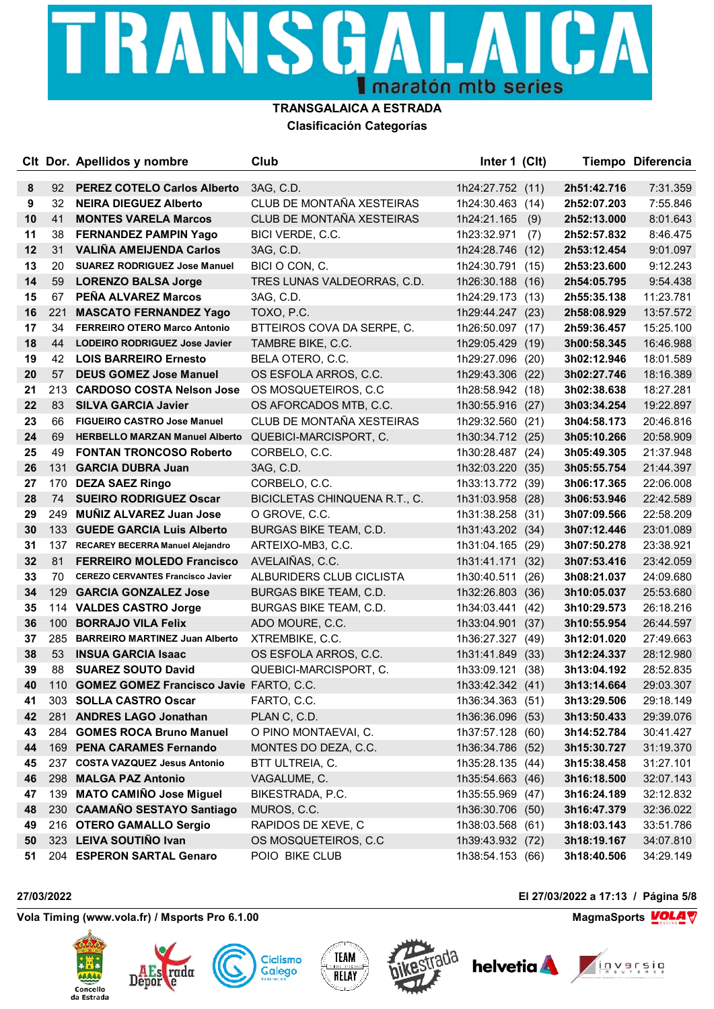## TRANSGA СA  $\Box$   $\Lambda$ **I** maratón mtb series

#### **TRANSGALAICA A ESTRADA Clasificación Categorías**

|    |     | CIt Dor. Apellidos y nombre                    | Club                          | Inter 1 (Clt)    |      |             | Tiempo Diferencia |
|----|-----|------------------------------------------------|-------------------------------|------------------|------|-------------|-------------------|
| 8  | 92  | <b>PEREZ COTELO Carlos Alberto</b>             | 3AG, C.D.                     | 1h24:27.752 (11) |      | 2h51:42.716 | 7:31.359          |
| 9  | 32  | <b>NEIRA DIEGUEZ Alberto</b>                   | CLUB DE MONTAÑA XESTEIRAS     | 1h24:30.463 (14) |      | 2h52:07.203 | 7:55.846          |
| 10 | 41  | <b>MONTES VARELA Marcos</b>                    | CLUB DE MONTAÑA XESTEIRAS     | 1h24:21.165      | (9)  | 2h52:13.000 | 8:01.643          |
| 11 | 38  | <b>FERNANDEZ PAMPIN Yago</b>                   | BICI VERDE, C.C.              | 1h23:32.971      | (7)  | 2h52:57.832 | 8:46.475          |
| 12 | 31  | <b>VALIÑA AMEIJENDA Carlos</b>                 | 3AG, C.D.                     | 1h24:28.746 (12) |      | 2h53:12.454 | 9:01.097          |
| 13 | 20  | <b>SUAREZ RODRIGUEZ Jose Manuel</b>            | BICI O CON, C.                | 1h24:30.791 (15) |      | 2h53:23.600 | 9:12.243          |
| 14 | 59  | <b>LORENZO BALSA Jorge</b>                     | TRES LUNAS VALDEORRAS, C.D.   | 1h26:30.188 (16) |      | 2h54:05.795 | 9:54.438          |
| 15 | 67  | PEÑA ALVAREZ Marcos                            | 3AG, C.D.                     | 1h24:29.173 (13) |      | 2h55:35.138 | 11:23.781         |
| 16 | 221 | <b>MASCATO FERNANDEZ Yago</b>                  | TOXO, P.C.                    | 1h29:44.247 (23) |      | 2h58:08.929 | 13:57.572         |
| 17 | 34  | <b>FERREIRO OTERO Marco Antonio</b>            | BTTEIROS COVA DA SERPE, C.    | 1h26:50.097 (17) |      | 2h59:36.457 | 15:25.100         |
| 18 | 44  | LODEIRO RODRIGUEZ Jose Javier                  | TAMBRE BIKE, C.C.             | 1h29:05.429 (19) |      | 3h00:58.345 | 16:46.988         |
| 19 | 42  | <b>LOIS BARREIRO Ernesto</b>                   | BELA OTERO, C.C.              | 1h29:27.096 (20) |      | 3h02:12.946 | 18:01.589         |
| 20 | 57  | <b>DEUS GOMEZ Jose Manuel</b>                  | OS ESFOLA ARROS, C.C.         | 1h29:43.306 (22) |      | 3h02:27.746 | 18:16.389         |
| 21 | 213 | <b>CARDOSO COSTA Nelson Jose</b>               | OS MOSQUETEIROS, C.C.         | 1h28:58.942 (18) |      | 3h02:38.638 | 18:27.281         |
| 22 | 83  | <b>SILVA GARCIA Javier</b>                     | OS AFORCADOS MTB, C.C.        | 1h30:55.916 (27) |      | 3h03:34.254 | 19:22.897         |
| 23 | 66  | <b>FIGUEIRO CASTRO Jose Manuel</b>             | CLUB DE MONTAÑA XESTEIRAS     | 1h29:32.560 (21) |      | 3h04:58.173 | 20:46.816         |
| 24 | 69  | <b>HERBELLO MARZAN Manuel Alberto</b>          | QUEBICI-MARCISPORT, C.        | 1h30:34.712 (25) |      | 3h05:10.266 | 20:58.909         |
| 25 | 49  | <b>FONTAN TRONCOSO Roberto</b>                 | CORBELO, C.C.                 | 1h30:28.487 (24) |      | 3h05:49.305 | 21:37.948         |
| 26 |     | 131 GARCIA DUBRA Juan                          | 3AG, C.D.                     | 1h32:03.220 (35) |      | 3h05:55.754 | 21:44.397         |
| 27 | 170 | <b>DEZA SAEZ Ringo</b>                         | CORBELO, C.C.                 | 1h33:13.772 (39) |      | 3h06:17.365 | 22:06.008         |
| 28 | 74  | <b>SUEIRO RODRIGUEZ Oscar</b>                  | BICICLETAS CHINQUENA R.T., C. | 1h31:03.958 (28) |      | 3h06:53.946 | 22:42.589         |
| 29 | 249 | <b>MUÑIZ ALVAREZ Juan Jose</b>                 | O GROVE, C.C.                 | 1h31:38.258 (31) |      | 3h07:09.566 | 22:58.209         |
| 30 |     | 133 GUEDE GARCIA Luis Alberto                  | BURGAS BIKE TEAM, C.D.        | 1h31:43.202 (34) |      | 3h07:12.446 | 23:01.089         |
| 31 | 137 | RECAREY BECERRA Manuel Alejandro               | ARTEIXO-MB3, C.C.             | 1h31:04.165 (29) |      | 3h07:50.278 | 23:38.921         |
| 32 | 81  | <b>FERREIRO MOLEDO Francisco</b>               | AVELAIÑAS, C.C.               | 1h31:41.171 (32) |      | 3h07:53.416 | 23:42.059         |
| 33 | 70  | <b>CEREZO CERVANTES Francisco Javier</b>       | ALBURIDERS CLUB CICLISTA      | 1h30:40.511      | (26) | 3h08:21.037 | 24:09.680         |
| 34 | 129 | <b>GARCIA GONZALEZ Jose</b>                    | BURGAS BIKE TEAM, C.D.        | 1h32:26.803 (36) |      | 3h10:05.037 | 25:53.680         |
| 35 |     | 114 VALDES CASTRO Jorge                        | BURGAS BIKE TEAM, C.D.        | 1h34:03.441      | (42) | 3h10:29.573 | 26:18.216         |
| 36 | 100 | <b>BORRAJO VILA Felix</b>                      | ADO MOURE, C.C.               | 1h33:04.901 (37) |      | 3h10:55.954 | 26:44.597         |
| 37 | 285 | <b>BARREIRO MARTINEZ Juan Alberto</b>          | XTREMBIKE, C.C.               | 1h36:27.327 (49) |      | 3h12:01.020 | 27:49.663         |
| 38 | 53  | <b>INSUA GARCIA Isaac</b>                      | OS ESFOLA ARROS, C.C.         | 1h31:41.849      | (33) | 3h12:24.337 | 28:12.980         |
| 39 | 88  | <b>SUAREZ SOUTO David</b>                      | QUEBICI-MARCISPORT, C.        | 1h33:09.121      | (38) | 3h13:04.192 | 28:52.835         |
| 40 | 110 | <b>GOMEZ GOMEZ Francisco Javie FARTO, C.C.</b> |                               | 1h33:42.342 (41) |      | 3h13:14.664 | 29:03.307         |
| 41 |     | 303 SOLLA CASTRO Oscar                         | FARTO, C.C.                   | 1h36:34.363 (51) |      | 3h13:29.506 | 29:18.149         |
| 42 | 281 | <b>ANDRES LAGO Jonathan</b>                    | PLAN C, C.D.                  | 1h36:36.096 (53) |      | 3h13:50.433 | 29:39.076         |
| 43 | 284 | <b>GOMES ROCA Bruno Manuel</b>                 | O PINO MONTAEVAI, C.          | 1h37:57.128 (60) |      | 3h14:52.784 | 30:41.427         |
| 44 |     | 169 PENA CARAMES Fernando                      | MONTES DO DEZA, C.C.          | 1h36:34.786 (52) |      | 3h15:30.727 | 31:19.370         |
| 45 | 237 | <b>COSTA VAZQUEZ Jesus Antonio</b>             | BTT ULTREIA, C.               | 1h35:28.135 (44) |      | 3h15:38.458 | 31:27.101         |
| 46 | 298 | <b>MALGA PAZ Antonio</b>                       | VAGALUME, C.                  | 1h35:54.663 (46) |      | 3h16:18.500 | 32:07.143         |
| 47 | 139 | <b>MATO CAMIÑO Jose Miguel</b>                 | BIKESTRADA, P.C.              | 1h35:55.969 (47) |      | 3h16:24.189 | 32:12.832         |
| 48 | 230 | <b>CAAMAÑO SESTAYO Santiago</b>                | MUROS, C.C.                   | 1h36:30.706 (50) |      | 3h16:47.379 | 32:36.022         |
| 49 | 216 | <b>OTERO GAMALLO Sergio</b>                    | RAPIDOS DE XEVE, C            | 1h38:03.568 (61) |      | 3h18:03.143 | 33:51.786         |
| 50 |     | 323 LEIVA SOUTIÑO Ivan                         | OS MOSQUETEIROS, C.C          | 1h39:43.932 (72) |      | 3h18:19.167 | 34:07.810         |
| 51 |     | 204 ESPERON SARTAL Genaro                      | POIO BIKE CLUB                | 1h38:54.153 (66) |      | 3h18:40.506 | 34:29.149         |

Vola Timing (www.vola.fr) / Msports Pro 6.1.00 **MagmaChanger 2012 12:00 MagmaChanger 2014** W

Depor











**27/03/2022 El 27/03/2022 a 17:13 / Página 5/8**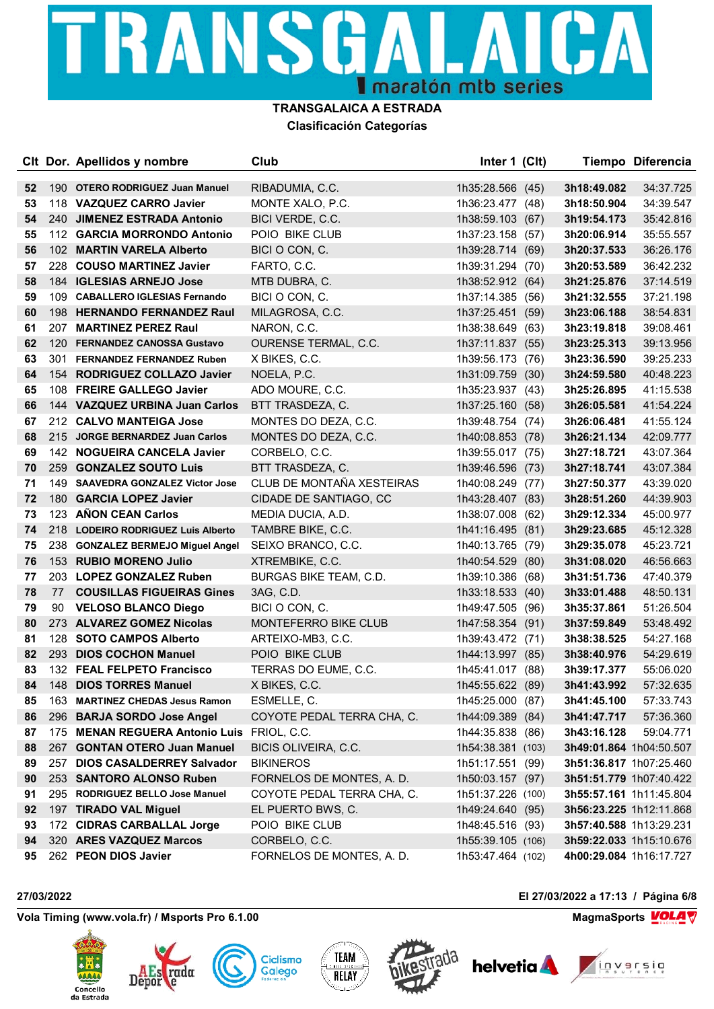## TRANSGA СA  $\blacksquare'$ **I** maratón mtb series

#### **TRANSGALAICA A ESTRADA Clasificación Categorías**

|    |     | CIt Dor. Apellidos y nombre          | Club                        | Inter 1 (Clt)     |      |                         | Tiempo Diferencia |
|----|-----|--------------------------------------|-----------------------------|-------------------|------|-------------------------|-------------------|
| 52 | 190 | <b>OTERO RODRIGUEZ Juan Manuel</b>   | RIBADUMIA, C.C.             | 1h35:28.566 (45)  |      | 3h18:49.082             | 34:37.725         |
| 53 |     | 118 VAZQUEZ CARRO Javier             | MONTE XALO, P.C.            | 1h36:23.477 (48)  |      | 3h18:50.904             | 34:39.547         |
| 54 | 240 | <b>JIMENEZ ESTRADA Antonio</b>       | BICI VERDE, C.C.            | 1h38:59.103 (67)  |      | 3h19:54.173             | 35:42.816         |
| 55 |     | 112 GARCIA MORRONDO Antonio          | POIO BIKE CLUB              | 1h37:23.158 (57)  |      | 3h20:06.914             | 35:55.557         |
| 56 |     | 102 MARTIN VARELA Alberto            | BICI O CON, C.              | 1h39:28.714 (69)  |      | 3h20:37.533             | 36:26.176         |
| 57 |     | 228 COUSO MARTINEZ Javier            | FARTO, C.C.                 | 1h39:31.294 (70)  |      | 3h20:53.589             | 36:42.232         |
| 58 |     | 184 IGLESIAS ARNEJO Jose             | MTB DUBRA, C.               | 1h38:52.912 (64)  |      | 3h21:25.876             | 37:14.519         |
| 59 | 109 | <b>CABALLERO IGLESIAS Fernando</b>   | BICI O CON, C.              | 1h37:14.385 (56)  |      | 3h21:32.555             | 37:21.198         |
| 60 |     | 198 HERNANDO FERNANDEZ Raul          | MILAGROSA, C.C.             | 1h37:25.451 (59)  |      | 3h23:06.188             | 38:54.831         |
| 61 | 207 | <b>MARTINEZ PEREZ Raul</b>           | NARON, C.C.                 | 1h38:38.649 (63)  |      | 3h23:19.818             | 39:08.461         |
| 62 | 120 | <b>FERNANDEZ CANOSSA Gustavo</b>     | <b>OURENSE TERMAL, C.C.</b> | 1h37:11.837 (55)  |      | 3h23:25.313             | 39:13.956         |
| 63 | 301 | <b>FERNANDEZ FERNANDEZ Ruben</b>     | X BIKES, C.C.               | 1h39:56.173 (76)  |      | 3h23:36.590             | 39:25.233         |
| 64 |     | 154 RODRIGUEZ COLLAZO Javier         | NOELA, P.C.                 | 1h31:09.759 (30)  |      | 3h24:59.580             | 40:48.223         |
| 65 |     | 108 FREIRE GALLEGO Javier            | ADO MOURE, C.C.             | 1h35:23.937 (43)  |      | 3h25:26.895             | 41:15.538         |
| 66 |     | 144 VAZQUEZ URBINA Juan Carlos       | BTT TRASDEZA, C.            | 1h37:25.160 (58)  |      | 3h26:05.581             | 41:54.224         |
| 67 |     | 212 CALVO MANTEIGA Jose              | MONTES DO DEZA, C.C.        | 1h39:48.754 (74)  |      | 3h26:06.481             | 41:55.124         |
| 68 |     | 215 JORGE BERNARDEZ Juan Carlos      | MONTES DO DEZA, C.C.        | 1h40:08.853 (78)  |      | 3h26:21.134             | 42:09.777         |
| 69 | 142 | <b>NOGUEIRA CANCELA Javier</b>       | CORBELO, C.C.               | 1h39:55.017 (75)  |      | 3h27:18.721             | 43:07.364         |
| 70 | 259 | <b>GONZALEZ SOUTO Luis</b>           | BTT TRASDEZA, C.            | 1h39:46.596 (73)  |      | 3h27:18.741             | 43:07.384         |
| 71 | 149 | <b>SAAVEDRA GONZALEZ Victor Jose</b> | CLUB DE MONTAÑA XESTEIRAS   | 1h40:08.249 (77)  |      | 3h27:50.377             | 43:39.020         |
| 72 | 180 | <b>GARCIA LOPEZ Javier</b>           | CIDADE DE SANTIAGO, CC      | 1h43:28.407 (83)  |      | 3h28:51.260             | 44:39.903         |
| 73 |     | 123 AÑON CEAN Carlos                 | MEDIA DUCIA, A.D.           | 1h38:07.008 (62)  |      | 3h29:12.334             | 45:00.977         |
| 74 |     | 218 LODEIRO RODRIGUEZ Luis Alberto   | TAMBRE BIKE, C.C.           | 1h41:16.495 (81)  |      | 3h29:23.685             | 45:12.328         |
| 75 | 238 | <b>GONZALEZ BERMEJO Miguel Angel</b> | SEIXO BRANCO, C.C.          | 1h40:13.765 (79)  |      | 3h29:35.078             | 45:23.721         |
| 76 |     | 153 RUBIO MORENO Julio               | XTREMBIKE, C.C.             | 1h40:54.529 (80)  |      | 3h31:08.020             | 46:56.663         |
| 77 |     | 203 LOPEZ GONZALEZ Ruben             | BURGAS BIKE TEAM, C.D.      | 1h39:10.386 (68)  |      | 3h31:51.736             | 47:40.379         |
| 78 | 77  | <b>COUSILLAS FIGUEIRAS Gines</b>     | 3AG, C.D.                   | 1h33:18.533 (40)  |      | 3h33:01.488             | 48:50.131         |
| 79 | 90  | <b>VELOSO BLANCO Diego</b>           | BICI O CON, C.              | 1h49:47.505 (96)  |      | 3h35:37.861             | 51:26.504         |
| 80 |     | 273 ALVAREZ GOMEZ Nicolas            | MONTEFERRO BIKE CLUB        | 1h47:58.354 (91)  |      | 3h37:59.849             | 53:48.492         |
| 81 | 128 | <b>SOTO CAMPOS Alberto</b>           | ARTEIXO-MB3, C.C.           | 1h39:43.472 (71)  |      | 3h38:38.525             | 54:27.168         |
| 82 | 293 | <b>DIOS COCHON Manuel</b>            | POIO BIKE CLUB              | 1h44:13.997 (85)  |      | 3h38:40.976             | 54:29.619         |
| 83 |     | 132 FEAL FELPETO Francisco           | TERRAS DO EUME, C.C.        | 1h45:41.017 (88)  |      | 3h39:17.377             | 55:06.020         |
| 84 | 148 | <b>DIOS TORRES Manuel</b>            | X BIKES, C.C.               | 1h45:55.622 (89)  |      | 3h41:43.992             | 57:32.635         |
| 85 | 163 | <b>MARTINEZ CHEDAS Jesus Ramon</b>   | ESMELLE, C.                 | 1h45:25.000 (87)  |      | 3h41:45.100             | 57:33.743         |
| 86 | 296 | <b>BARJA SORDO Jose Angel</b>        | COYOTE PEDAL TERRA CHA, C.  | 1h44:09.389       | (84) | 3h41:47.717             | 57:36.360         |
| 87 | 175 | <b>MENAN REGUERA Antonio Luis</b>    | FRIOL, C.C.                 | 1h44:35.838 (86)  |      | 3h43:16.128             | 59:04.771         |
| 88 |     | 267 GONTAN OTERO Juan Manuel         | BICIS OLIVEIRA, C.C.        | 1h54:38.381 (103) |      | 3h49:01.864 1h04:50.507 |                   |
| 89 | 257 | <b>DIOS CASALDERREY Salvador</b>     | <b>BIKINEROS</b>            | 1h51:17.551 (99)  |      | 3h51:36.817 1h07:25.460 |                   |
| 90 | 253 | <b>SANTORO ALONSO Ruben</b>          | FORNELOS DE MONTES, A. D.   | 1h50:03.157 (97)  |      | 3h51:51.779 1h07:40.422 |                   |
| 91 | 295 | <b>RODRIGUEZ BELLO Jose Manuel</b>   | COYOTE PEDAL TERRA CHA, C.  | 1h51:37.226 (100) |      | 3h55:57.161 1h11:45.804 |                   |
| 92 |     | 197 TIRADO VAL Miguel                | EL PUERTO BWS, C.           | 1h49:24.640 (95)  |      | 3h56:23.225 1h12:11.868 |                   |
| 93 | 172 | <b>CIDRAS CARBALLAL Jorge</b>        | POIO BIKE CLUB              | 1h48:45.516 (93)  |      | 3h57:40.588 1h13:29.231 |                   |
| 94 |     | 320 ARES VAZQUEZ Marcos              | CORBELO, C.C.               | 1h55:39.105 (106) |      | 3h59:22.033 1h15:10.676 |                   |
| 95 |     | 262 PEON DIOS Javier                 | FORNELOS DE MONTES, A. D.   | 1h53:47.464 (102) |      | 4h00:29.084 1h16:17.727 |                   |

**Vola Timing (www.vola.fr) / Msports Pro 6.1.00 MagmaChanger 3.1.00 MagmaChanger 3.1.00 MagmaChanger 3.1.00 MagmaChanger 3.1.00 MagmaChanger 3.1.00 MagmaChanger 3.1.00 MagmaChanger 3.1.00 MagmaChanger 3.1.0** 

Depor









**27/03/2022 El 27/03/2022 a 17:13 / Página 6/8**

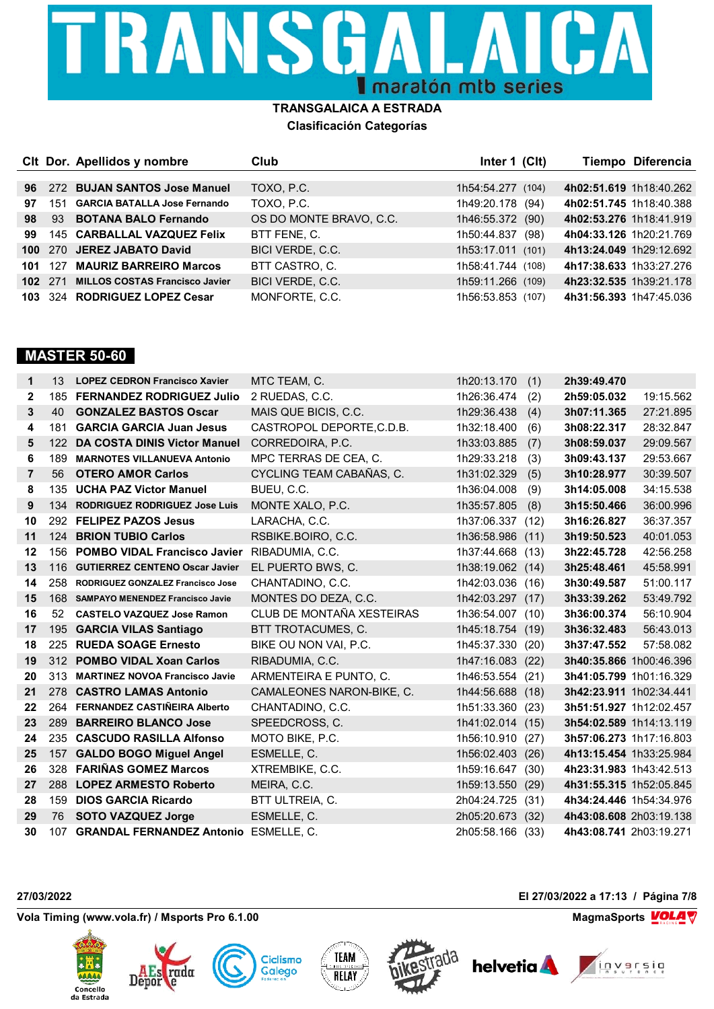## TRANSGA CA  $\blacksquare$   $\blacktriangle$ I maratón mtb series

#### **TRANSGALAICA A ESTRADA Clasificación Categorías**

|                  |         | CIt Dor. Apellidos y nombre           | Club                    | Inter $1$ (Clt)     | Tiempo Diferencia       |
|------------------|---------|---------------------------------------|-------------------------|---------------------|-------------------------|
|                  |         |                                       |                         |                     |                         |
| 96               |         | 272 BUJAN SANTOS Jose Manuel          | TOXO, P.C.              | 1h54:54.277 (104)   | 4h02:51.619 1h18:40.262 |
| 97               |         | 151 GARCIA BATALLA Jose Fernando      | TOXO, P.C.              | 1h49:20.178<br>(94) | 4h02:51.745 1h18:40.388 |
| 98               | 93      | <b>BOTANA BALO Fernando</b>           | OS DO MONTE BRAVO, C.C. | 1h46:55.372<br>(90) | 4h02:53.276 1h18:41.919 |
| 99               |         | 145 CARBALLAL VAZQUEZ Felix           | BTT FENE, C.            | 1h50:44.837<br>(98) | 4h04:33.126 1h20:21.769 |
| 100 <sub>1</sub> |         | 270 JEREZ JABATO David                | BICI VERDE, C.C.        | 1h53:17.011 (101)   | 4h13:24.049 1h29:12.692 |
| 101              | 127     | <b>MAURIZ BARREIRO Marcos</b>         | BTT CASTRO. C.          | 1h58:41.744 (108)   | 4h17:38.633 1h33:27.276 |
|                  | 102 271 | <b>MILLOS COSTAS Francisco Javier</b> | BICI VERDE, C.C.        | 1h59:11.266 (109)   | 4h23:32.535 1h39:21.178 |
|                  |         | 103 324 RODRIGUEZ LOPEZ Cesar         | MONFORTE, C.C.          | 1h56:53.853 (107)   | 4h31:56.393 1h47:45.036 |

### **MASTER 50-60**

| 1              | 13  | <b>LOPEZ CEDRON Francisco Xavier</b>      | MTC TEAM, C.              | 1h20:13.170      | (1)  | 2h39:49.470             |                         |
|----------------|-----|-------------------------------------------|---------------------------|------------------|------|-------------------------|-------------------------|
| $\mathbf{2}$   | 185 | <b>FERNANDEZ RODRIGUEZ Julio</b>          | 2 RUEDAS, C.C.            | 1h26:36.474      | (2)  | 2h59:05.032             | 19:15.562               |
| 3              | 40  | <b>GONZALEZ BASTOS Oscar</b>              | MAIS QUE BICIS, C.C.      | 1h29:36.438      | (4)  | 3h07:11.365             | 27:21.895               |
| 4              | 181 | <b>GARCIA GARCIA Juan Jesus</b>           | CASTROPOL DEPORTE.C.D.B.  | 1h32:18.400      | (6)  | 3h08:22.317             | 28:32.847               |
| 5              | 122 | DA COSTA DINIS Victor Manuel              | CORREDOIRA, P.C.          | 1h33:03.885      | (7)  | 3h08:59.037             | 29:09.567               |
| 6              | 189 | <b>MARNOTES VILLANUEVA Antonio</b>        | MPC TERRAS DE CEA, C.     | 1h29:33.218      | (3)  | 3h09:43.137             | 29:53.667               |
| $\overline{7}$ | 56  | <b>OTERO AMOR Carlos</b>                  | CYCLING TEAM CABAÑAS, C.  | 1h31:02.329      | (5)  | 3h10:28.977             | 30:39.507               |
| 8              | 135 | <b>UCHA PAZ Victor Manuel</b>             | BUEU, C.C.                | 1h36:04.008      | (9)  | 3h14:05.008             | 34:15.538               |
| 9              | 134 | <b>RODRIGUEZ RODRIGUEZ Jose Luis</b>      | MONTE XALO, P.C.          | 1h35:57.805      | (8)  | 3h15:50.466             | 36:00.996               |
| 10             | 292 | <b>FELIPEZ PAZOS Jesus</b>                | LARACHA, C.C.             | 1h37:06.337      | (12) | 3h16:26.827             | 36:37.357               |
| 11             | 124 | <b>BRION TUBIO Carlos</b>                 | RSBIKE.BOIRO, C.C.        | 1h36:58.986      | (11) | 3h19:50.523             | 40:01.053               |
| 12             | 156 | <b>POMBO VIDAL Francisco Javier</b>       | RIBADUMIA, C.C.           | 1h37:44.668      | (13) | 3h22:45.728             | 42:56.258               |
| 13             | 116 | <b>GUTIERREZ CENTENO Oscar Javier</b>     | EL PUERTO BWS, C.         | 1h38:19.062 (14) |      | 3h25:48.461             | 45:58.991               |
| 14             | 258 | RODRIGUEZ GONZALEZ Francisco Jose         | CHANTADINO, C.C.          | 1h42:03.036 (16) |      | 3h30:49.587             | 51:00.117               |
| 15             | 168 | <b>SAMPAYO MENENDEZ Francisco Javie</b>   | MONTES DO DEZA, C.C.      | 1h42:03.297      | (17) | 3h33:39.262             | 53:49.792               |
| 16             | 52  | <b>CASTELO VAZQUEZ Jose Ramon</b>         | CLUB DE MONTAÑA XESTEIRAS | 1h36:54.007      | (10) | 3h36:00.374             | 56:10.904               |
| 17             | 195 | <b>GARCIA VILAS Santiago</b>              | BTT TROTACUMES, C.        | 1h45:18.754 (19) |      | 3h36:32.483             | 56:43.013               |
| 18             | 225 | <b>RUEDA SOAGE Ernesto</b>                | BIKE OU NON VAI, P.C.     | 1h45:37.330      | (20) | 3h37:47.552             | 57:58.082               |
| 19             |     | 312 POMBO VIDAL Xoan Carlos               | RIBADUMIA, C.C.           | 1h47:16.083      | (22) | 3h40:35.866 1h00:46.396 |                         |
| 20             | 313 | <b>MARTINEZ NOVOA Francisco Javie</b>     | ARMENTEIRA E PUNTO, C.    | 1h46:53.554 (21) |      | 3h41:05.799 1h01:16.329 |                         |
| 21             | 278 | <b>CASTRO LAMAS Antonio</b>               | CAMALEONES NARON-BIKE, C. | 1h44:56.688      | (18) | 3h42:23.911 1h02:34.441 |                         |
| 22             |     | 264 FERNANDEZ CASTIÑEIRA Alberto          | CHANTADINO, C.C.          | 1h51:33.360      | (23) | 3h51:51.927 1h12:02.457 |                         |
| 23             | 289 | <b>BARREIRO BLANCO Jose</b>               | SPEEDCROSS, C.            | 1h41:02.014 (15) |      |                         | 3h54:02.589 1h14:13.119 |
| 24             | 235 | <b>CASCUDO RASILLA Alfonso</b>            | MOTO BIKE, P.C.           | 1h56:10.910      | (27) | 3h57:06.273 1h17:16.803 |                         |
| 25             | 157 | <b>GALDO BOGO Miguel Angel</b>            | ESMELLE, C.               | 1h56:02.403 (26) |      | 4h13:15.454 1h33:25.984 |                         |
| 26             | 328 | <b>FARIÑAS GOMEZ Marcos</b>               | XTREMBIKE, C.C.           | 1h59:16.647      | (30) | 4h23:31.983 1h43:42.513 |                         |
| 27             | 288 | <b>LOPEZ ARMESTO Roberto</b>              | MEIRA, C.C.               | 1h59:13.550 (29) |      | 4h31:55.315 1h52:05.845 |                         |
| 28             | 159 | <b>DIOS GARCIA Ricardo</b>                | BTT ULTREIA, C.           | 2h04:24.725      | (31) | 4h34:24.446 1h54:34.976 |                         |
| 29             | 76  | <b>SOTO VAZQUEZ Jorge</b>                 | ESMELLE, C.               | 2h05:20.673 (32) |      | 4h43:08.608 2h03:19.138 |                         |
| 30             |     | 107 GRANDAL FERNANDEZ Antonio ESMELLE, C. |                           | 2h05:58.166      | (33) | 4h43:08.741 2h03:19.271 |                         |

Vola Timing (www.vola.fr) / Msports Pro 6.1.00 **MagmaChanger 2012 12:00 MagmaChanger 2014** W

Depor













**27/03/2022 El 27/03/2022 a 17:13 / Página 7/8**